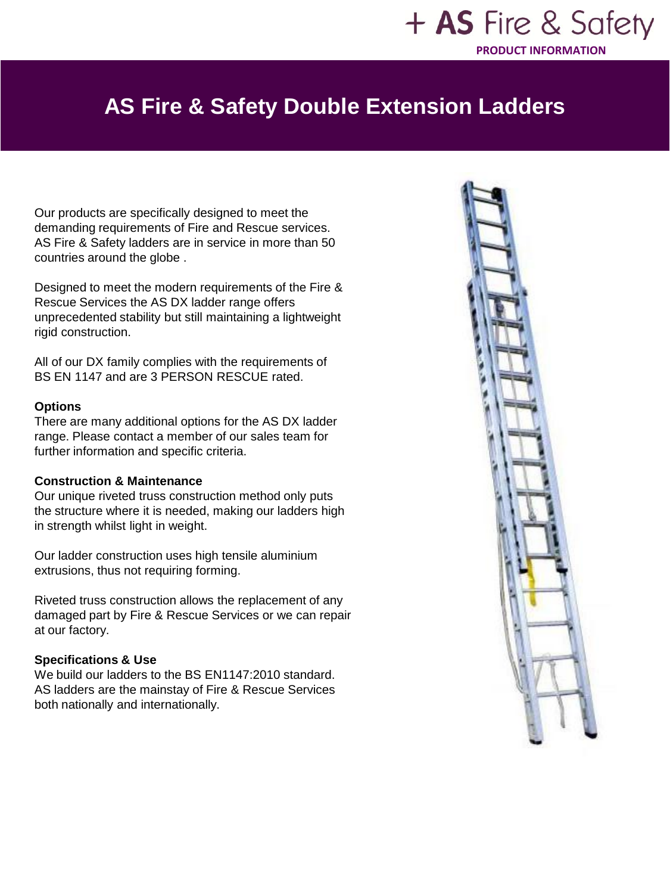### + AS Fire & Safety **PRODUCT INFORMATION**

## **AS Fire & Safety Double Extension Ladders**

Our products are specifically designed to meet the demanding requirements of Fire and Rescue services. AS Fire & Safety ladders are in service in more than 50 countries around the globe .

Designed to meet the modern requirements of the Fire & Rescue Services the AS DX ladder range offers unprecedented stability but still maintaining a lightweight rigid construction.

All of our DX family complies with the requirements of BS EN 1147 and are 3 PERSON RESCUE rated.

#### **Options**

There are many additional options for the AS DX ladder range. Please contact a member of our sales team for further information and specific criteria.

#### **Construction & Maintenance**

Our unique riveted truss construction method only puts the structure where it is needed, making our ladders high in strength whilst light in weight.

Our ladder construction uses high tensile aluminium extrusions, thus not requiring forming.

Riveted truss construction allows the replacement of any damaged part by Fire & Rescue Services or we can repair at our factory.

#### **Specifications & Use**

We build our ladders to the BS EN1147:2010 standard. AS ladders are the mainstay of Fire & Rescue Services both nationally and internationally.